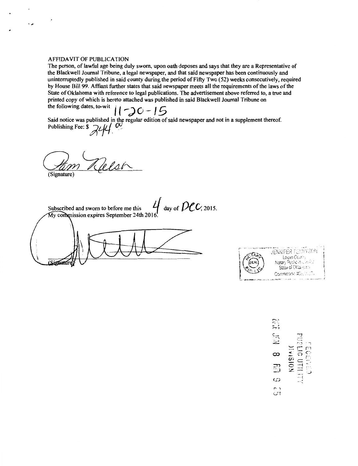## **AFFIDAVIT OF PUBLICATION**

 $\boldsymbol{\beta}$ 

نی ،

The person, of lawful age being duly sworn, upon oath deposes and says that they are a Representative of the Blackwell Journal Tribune, a legal newspaper, and that said newspaper has been continuously and uninterruptedly published in said county during the period of Fifty Two (52) weeks consecutively, required by House Bill 99. Affiant further states that said newspaper meets all the requirements of the laws of the State of Oklahoma with reference to legal publications. The advertisement above referred to, a true and

Said notice was published in the regular edition of said newspaper and not in a supplement thereof.<br>Publishing Fee: \$ 244 00

(Signature)

 $\frac{1}{2}$  day of  $\text{Dec}$ , 2015. Subscribed and sworn to before me this My commission expires September 24th 2016 Signatur



 $UB = 8$  Nam  $3.32$ NOISIAIC ω ς<br>Ω